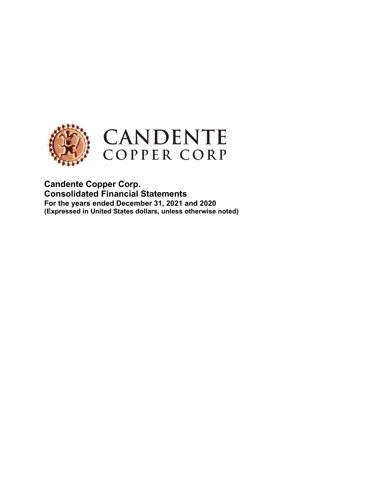

**Candente Copper Corp. Consolidated Financial Statements For the years ended December 31, 2021 and 2020 (Expressed in United States dollars, unless otherwise noted)**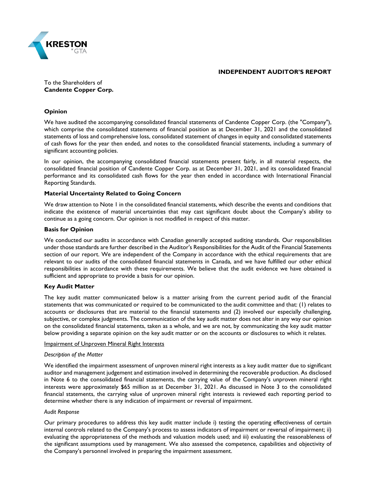



To the Shareholders of **Candente Copper Corp.** 

# **Opinion**

We have audited the accompanying consolidated financial statements of Candente Copper Corp. (the "Company"), which comprise the consolidated statements of financial position as at December 31, 2021 and the consolidated statements of loss and comprehensive loss, consolidated statement of changes in equity and consolidated statements of cash flows for the year then ended, and notes to the consolidated financial statements, including a summary of significant accounting policies.

In our opinion, the accompanying consolidated financial statements present fairly, in all material respects, the consolidated financial position of Candente Copper Corp. as at December 31, 2021, and its consolidated financial performance and its consolidated cash flows for the year then ended in accordance with International Financial Reporting Standards.

### **Material Uncertainty Related to Going Concern**

We draw attention to Note 1 in the consolidated financial statements, which describe the events and conditions that indicate the existence of material uncertainties that may cast significant doubt about the Company's ability to continue as a going concern. Our opinion is not modified in respect of this matter.

# **Basis for Opinion**

We conducted our audits in accordance with Canadian generally accepted auditing standards. Our responsibilities under those standards are further described in the Auditor's Responsibilities for the Audit of the Financial Statements section of our report. We are independent of the Company in accordance with the ethical requirements that are relevant to our audits of the consolidated financial statements in Canada, and we have fulfilled our other ethical responsibilities in accordance with these requirements. We believe that the audit evidence we have obtained is sufficient and appropriate to provide a basis for our opinion.

### **Key Audit Matter**

The key audit matter communicated below is a matter arising from the current period audit of the financial statements that was communicated or required to be communicated to the audit committee and that: (1) relates to accounts or disclosures that are material to the financial statements and (2) involved our especially challenging, subjective, or complex judgments. The communication of the key audit matter does not alter in any way our opinion on the consolidated financial statements, taken as a whole, and we are not, by communicating the key audit matter below providing a separate opinion on the key audit matter or on the accounts or disclosures to which it relates.

### Impairment of Unproven Mineral Right Interests

### *Description of the Matter*

We identified the impairment assessment of unproven mineral right interests as a key audit matter due to significant auditor and management judgement and estimation involved in determining the recoverable production. As disclosed in Note 6 to the consolidated financial statements, the carrying value of the Company's unproven mineral right interests were approximately \$65 million as at December 31, 2021. As discussed in Note 3 to the consolidated financial statements, the carrying value of unproven mineral right interests is reviewed each reporting period to determine whether there is any indication of impairment or reversal of impairment.

### *Audit Response*

Our primary procedures to address this key audit matter include i) testing the operating effectiveness of certain internal controls related to the Company's process to assess indicators of impairment or reversal of impairment; ii) evaluating the appropriateness of the methods and valuation models used; and iii) evaluating the reasonableness of the significant assumptions used by management. We also assessed the competence, capabilities and objectivity of the Company's personnel involved in preparing the impairment assessment.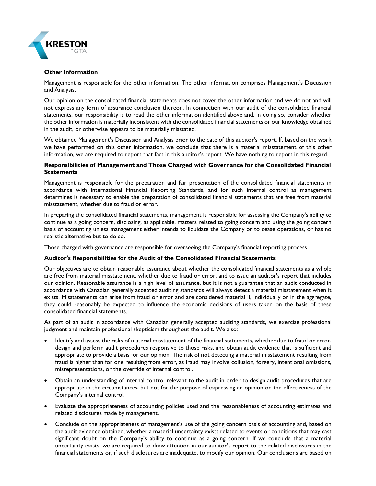

#### **Other Information**

Management is responsible for the other information. The other information comprises Management's Discussion and Analysis.

Our opinion on the consolidated financial statements does not cover the other information and we do not and will not express any form of assurance conclusion thereon. In connection with our audit of the consolidated financial statements, our responsibility is to read the other information identified above and, in doing so, consider whether the other information is materially inconsistent with the consolidated financial statements or our knowledge obtained in the audit, or otherwise appears to be materially misstated.

We obtained Management's Discussion and Analysis prior to the date of this auditor's report. If, based on the work we have performed on this other information, we conclude that there is a material misstatement of this other information, we are required to report that fact in this auditor's report. We have nothing to report in this regard.

#### **Responsibilities of Management and Those Charged with Governance for the Consolidated Financial Statements**

Management is responsible for the preparation and fair presentation of the consolidated financial statements in accordance with International Financial Reporting Standards, and for such internal control as management determines is necessary to enable the preparation of consolidated financial statements that are free from material misstatement, whether due to fraud or error.

In preparing the consolidated financial statements, management is responsible for assessing the Company's ability to continue as a going concern, disclosing, as applicable, matters related to going concern and using the going concern basis of accounting unless management either intends to liquidate the Company or to cease operations, or has no realistic alternative but to do so.

Those charged with governance are responsible for overseeing the Company's financial reporting process.

### **Auditor's Responsibilities for the Audit of the Consolidated Financial Statements**

Our objectives are to obtain reasonable assurance about whether the consolidated financial statements as a whole are free from material misstatement, whether due to fraud or error, and to issue an auditor's report that includes our opinion. Reasonable assurance is a high level of assurance, but it is not a guarantee that an audit conducted in accordance with Canadian generally accepted auditing standards will always detect a material misstatement when it exists. Misstatements can arise from fraud or error and are considered material if, individually or in the aggregate, they could reasonably be expected to influence the economic decisions of users taken on the basis of these consolidated financial statements.

As part of an audit in accordance with Canadian generally accepted auditing standards, we exercise professional judgment and maintain professional skepticism throughout the audit. We also:

- Identify and assess the risks of material misstatement of the financial statements, whether due to fraud or error, design and perform audit procedures responsive to those risks, and obtain audit evidence that is sufficient and appropriate to provide a basis for our opinion. The risk of not detecting a material misstatement resulting from fraud is higher than for one resulting from error, as fraud may involve collusion, forgery, intentional omissions, misrepresentations, or the override of internal control.
- Obtain an understanding of internal control relevant to the audit in order to design audit procedures that are appropriate in the circumstances, but not for the purpose of expressing an opinion on the effectiveness of the Company's internal control.
- Evaluate the appropriateness of accounting policies used and the reasonableness of accounting estimates and related disclosures made by management.
- Conclude on the appropriateness of management's use of the going concern basis of accounting and, based on the audit evidence obtained, whether a material uncertainty exists related to events or conditions that may cast significant doubt on the Company's ability to continue as a going concern. If we conclude that a material uncertainty exists, we are required to draw attention in our auditor's report to the related disclosures in the financial statements or, if such disclosures are inadequate, to modify our opinion. Our conclusions are based on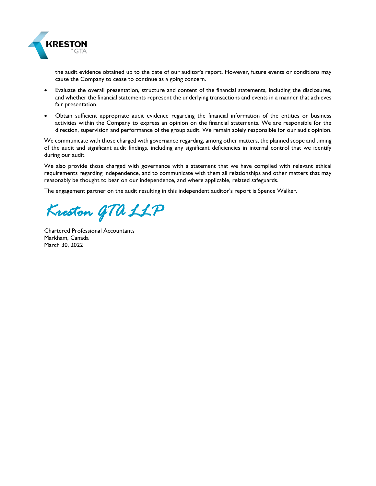

the audit evidence obtained up to the date of our auditor's report. However, future events or conditions may cause the Company to cease to continue as a going concern.

- Evaluate the overall presentation, structure and content of the financial statements, including the disclosures, and whether the financial statements represent the underlying transactions and events in a manner that achieves fair presentation.
- Obtain sufficient appropriate audit evidence regarding the financial information of the entities or business activities within the Company to express an opinion on the financial statements. We are responsible for the direction, supervision and performance of the group audit. We remain solely responsible for our audit opinion.

We communicate with those charged with governance regarding, among other matters, the planned scope and timing of the audit and significant audit findings, including any significant deficiencies in internal control that we identify during our audit.

We also provide those charged with governance with a statement that we have complied with relevant ethical requirements regarding independence, and to communicate with them all relationships and other matters that may reasonably be thought to bear on our independence, and where applicable, related safeguards.

The engagement partner on the audit resulting in this independent auditor's report is Spence Walker.

*Kreston GTA LLP* 

Chartered Professional Accountants Markham, Canada March 30, 2022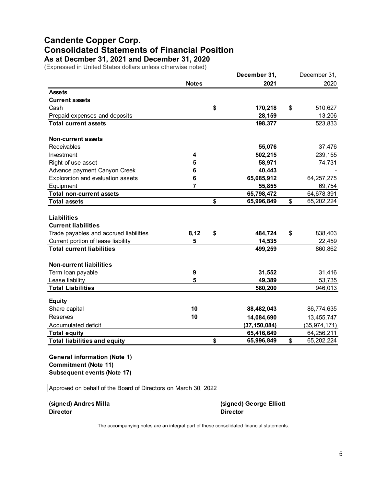# **Candente Copper Corp. Consolidated Statements of Financial Position As at Decmber 31, 2021 and December 31, 2020**

(Expressed in United States dollars unless otherwise noted)

| $\mathsf{L}\mathsf{A}\mathsf{P}$ cooper in United Utates dollars differed Utility whose Hotel $\mathsf{P}$ |              | December 31,     | December 31,     |
|------------------------------------------------------------------------------------------------------------|--------------|------------------|------------------|
|                                                                                                            | <b>Notes</b> | 2021             | 2020             |
| <b>Assets</b>                                                                                              |              |                  |                  |
| <b>Current assets</b>                                                                                      |              |                  |                  |
| Cash                                                                                                       |              | \$<br>170,218    | \$<br>510,627    |
| Prepaid expenses and deposits                                                                              |              | 28,159           | 13,206           |
| <b>Total current assets</b>                                                                                |              | 198,377          | 523,833          |
| <b>Non-current assets</b>                                                                                  |              |                  |                  |
| Receivables                                                                                                |              | 55,076           | 37,476           |
| Investment                                                                                                 | 4            | 502,215          | 239,155          |
| Right of use asset                                                                                         | 5            | 58,971           | 74,731           |
| Advance payment Canyon Creek                                                                               | 6            | 40,443           |                  |
| Exploration and evaluation assets                                                                          | 6            | 65,085,912       | 64,257,275       |
| Equipment                                                                                                  | 7            | 55,855           | 69,754           |
| <b>Total non-current assets</b>                                                                            |              | 65,798,472       | 64,678,391       |
| <b>Total assets</b>                                                                                        |              | \$<br>65,996,849 | \$<br>65,202,224 |
|                                                                                                            |              |                  |                  |
| <b>Liabilities</b>                                                                                         |              |                  |                  |
| <b>Current liabilities</b>                                                                                 |              |                  |                  |
| Trade payables and accrued liabilities                                                                     | 8,12         | \$<br>484,724    | \$<br>838,403    |
| Current portion of lease liability                                                                         | 5            | 14,535           | 22,459           |
| <b>Total current liabilities</b>                                                                           |              | 499,259          | 860,862          |
| <b>Non-current liabilities</b>                                                                             |              |                  |                  |
| Term loan payable                                                                                          | 9            | 31,552           | 31,416           |
| Lease liability                                                                                            | 5            | 49,389           | 53,735           |
| <b>Total Liabilities</b>                                                                                   |              | 580,200          | 946,013          |
| <b>Equity</b>                                                                                              |              |                  |                  |
| Share capital                                                                                              | 10           | 88,482,043       | 86,774,635       |
| <b>Reserves</b>                                                                                            | 10           | 14,084,690       | 13,455,747       |
| Accumulated deficit                                                                                        |              | (37, 150, 084)   | (35, 974, 171)   |
| <b>Total equity</b>                                                                                        |              | 65,416,649       | 64,256,211       |
| <b>Total liabilities and equity</b>                                                                        |              | \$<br>65,996,849 | \$<br>65,202,224 |

**General information (Note 1) Commitment (Note 11) Subsequent events (Note 17)**

Approved on behalf of the Board of Directors on March 30, 2022

| (signed) Andres Milla | (signed)        |
|-----------------------|-----------------|
| <b>Director</b>       | <b>Director</b> |

**(signed) George Elliott**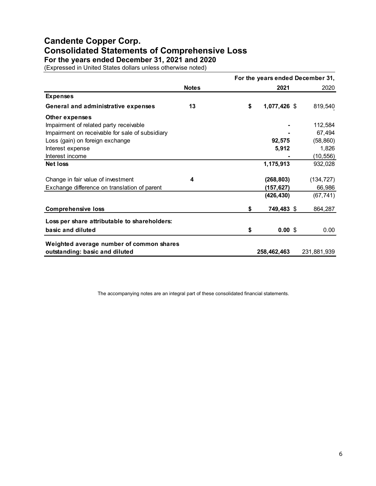# **Candente Copper Corp. Consolidated Statements of Comprehensive Loss**

**For the years ended December 31, 2021 and 2020** 

| (Expressed in United States dollars unless otherwise noted) |  |
|-------------------------------------------------------------|--|
|                                                             |  |

|                                                 |              | For the years ended December 31, |  |             |  |  |  |  |  |  |
|-------------------------------------------------|--------------|----------------------------------|--|-------------|--|--|--|--|--|--|
|                                                 | <b>Notes</b> | 2021                             |  | 2020        |  |  |  |  |  |  |
| <b>Expenses</b>                                 |              |                                  |  |             |  |  |  |  |  |  |
| General and administrative expenses             | 13           | \$<br>1,077,426 \$               |  | 819,540     |  |  |  |  |  |  |
| Other expenses                                  |              |                                  |  |             |  |  |  |  |  |  |
| Impairment of related party receivable          |              |                                  |  | 112,584     |  |  |  |  |  |  |
| Impairment on receivable for sale of subsidiary |              |                                  |  | 67,494      |  |  |  |  |  |  |
| Loss (gain) on foreign exchange                 |              | 92,575                           |  | (58, 860)   |  |  |  |  |  |  |
| Interest expense                                |              | 5,912                            |  | 1,826       |  |  |  |  |  |  |
| Interest income                                 |              |                                  |  | (10, 556)   |  |  |  |  |  |  |
| <b>Net loss</b>                                 |              | 1,175,913                        |  | 932,028     |  |  |  |  |  |  |
| Change in fair value of investment              | 4            | (268, 803)                       |  | (134, 727)  |  |  |  |  |  |  |
| Exchange difference on translation of parent    |              | (157,627)                        |  | 66,986      |  |  |  |  |  |  |
|                                                 |              | (426, 430)                       |  | (67, 741)   |  |  |  |  |  |  |
| <b>Comprehensive loss</b>                       |              | \$<br>749,483 \$                 |  | 864,287     |  |  |  |  |  |  |
| Loss per share attributable to shareholders:    |              |                                  |  |             |  |  |  |  |  |  |
| basic and diluted                               |              | \$<br>$0.00$ \$                  |  | 0.00        |  |  |  |  |  |  |
| Weighted average number of common shares        |              |                                  |  |             |  |  |  |  |  |  |
| outstanding: basic and diluted                  |              | 258,462,463                      |  | 231,881,939 |  |  |  |  |  |  |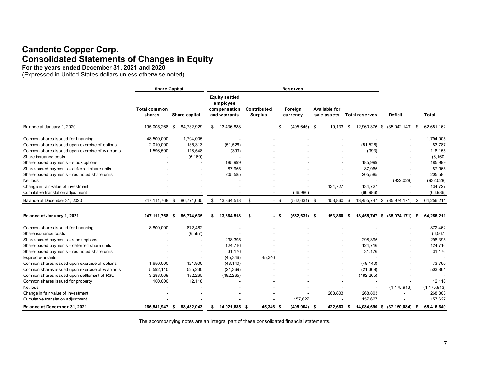# **Candente Copper Corp. Consolidated Statements of Changes in Equity**

**For the years ended December 31, 2021 and 2020**

(Expressed in United States dollars unless otherwise noted)

|                                                 | <b>Share Capital</b>          |                    | <b>Reserves</b> |                                                                   |                               |        |                     |                              |      |                       |  |                            |      |               |
|-------------------------------------------------|-------------------------------|--------------------|-----------------|-------------------------------------------------------------------|-------------------------------|--------|---------------------|------------------------------|------|-----------------------|--|----------------------------|------|---------------|
|                                                 | <b>Total common</b><br>shares | Share capital      |                 | <b>Equity settled</b><br>employee<br>compensation<br>and warrants | Contributed<br><b>Surplus</b> |        | Foreign<br>currency | Available for<br>sale assets |      | <b>Total reserves</b> |  | <b>Deficit</b>             |      | <b>Total</b>  |
| Balance at January 1, 2020                      | 195,005,268                   | 84,732,929<br>- \$ | \$              | 13,436,888                                                        |                               | \$     | $(495, 645)$ \$     | 19,133                       | \$   | 12,960,376 \$         |  | (35,042,143)               | \$   | 62,651,162    |
| Common shares issued for financing              | 48,500,000                    | 1,794,005          |                 |                                                                   |                               |        |                     |                              |      |                       |  |                            |      | 1,794,005     |
| Common shares issued upon exercise of options   | 2,010,000                     | 135,313            |                 | (51, 526)                                                         |                               |        |                     |                              |      | (51, 526)             |  |                            |      | 83,787        |
| Common shares issued upon exercise of w arrants | 1,596,500                     | 118,548            |                 | (393)                                                             |                               |        |                     |                              |      | (393)                 |  |                            |      | 118,155       |
| Share issuance costs                            |                               | (6, 160)           |                 |                                                                   |                               |        |                     |                              |      |                       |  |                            |      | (6, 160)      |
| Share-based payments - stock options            |                               |                    |                 | 185,999                                                           |                               |        |                     |                              |      | 185,999               |  |                            |      | 185,999       |
| Share-based payments - deferred share units     |                               |                    |                 | 87,965                                                            |                               |        |                     |                              |      | 87,965                |  |                            |      | 87,965        |
| Share-based payments - restricted share units   |                               |                    |                 | 205,585                                                           |                               |        |                     |                              |      | 205,585               |  |                            |      | 205,585       |
| Net loss                                        |                               |                    |                 |                                                                   |                               |        |                     |                              |      |                       |  | (932, 028)                 |      | (932, 028)    |
| Change in fair value of investment              |                               |                    |                 |                                                                   |                               |        |                     | 134,727                      |      | 134,727               |  |                            |      | 134,727       |
| Cumulative translation adjustment               |                               |                    |                 |                                                                   |                               |        | (66, 986)           |                              |      | (66, 986)             |  |                            |      | (66, 986)     |
| Balance at December 31, 2020                    | 247,111,768                   | 86,774,635<br>\$   | \$              | 13,864,518                                                        | \$                            | $-$ \$ | $(562, 631)$ \$     | 153,860                      | \$   |                       |  | 13,455,747 \$ (35,974,171) | \$   | 64,256,211    |
| Balance at January 1, 2021                      | 247,111,768 \$                | 86,774,635         | S               | 13,864,518                                                        | \$                            | - S    | $(562, 631)$ \$     | 153,860                      | - \$ | 13,455,747 \$         |  | (35,974,171)               | - \$ | 64,256,211    |
| Common shares issued for financing              | 8,800,000                     | 872,462            |                 |                                                                   |                               |        |                     |                              |      |                       |  |                            |      | 872,462       |
| Share issuance costs                            |                               | (6, 567)           |                 |                                                                   |                               |        |                     |                              |      |                       |  |                            |      | (6, 567)      |
| Share-based payments - stock options            |                               |                    |                 | 298,395                                                           |                               |        |                     |                              |      | 298,395               |  |                            |      | 298,395       |
| Share-based payments - deferred share units     |                               |                    |                 | 124,716                                                           |                               |        |                     |                              |      | 124,716               |  |                            |      | 124,716       |
| Share-based payments - restricted share units   |                               |                    |                 | 31,176                                                            |                               |        |                     |                              |      | 31,176                |  |                            |      | 31,176        |
| Expired w arrants                               |                               |                    |                 | (45, 346)                                                         | 45,346                        |        |                     |                              |      |                       |  |                            |      |               |
| Common shares issued upon exercise of options   | 1,650,000                     | 121,900            |                 | (48, 140)                                                         |                               |        |                     |                              |      | (48, 140)             |  |                            |      | 73,760        |
| Common shares issued upon exercise of w arrants | 5,592,110                     | 525,230            |                 | (21, 369)                                                         |                               |        |                     |                              |      | (21, 369)             |  |                            |      | 503,861       |
| Common shares issued upon settlement of RSU     | 3,288,069                     | 182,265            |                 | (182, 265)                                                        |                               |        |                     |                              |      | (182, 265)            |  |                            |      |               |
| Common shares issued for property               | 100,000                       | 12,118             |                 |                                                                   |                               |        |                     |                              |      |                       |  |                            |      | 12,118        |
| Net loss                                        |                               |                    |                 |                                                                   |                               |        |                     |                              |      |                       |  | (1, 175, 913)              |      | (1, 175, 913) |
| Change in fair value of investment              |                               |                    |                 |                                                                   |                               |        |                     | 268,803                      |      | 268,803               |  |                            |      | 268,803       |
| Cumulative translation adjustment               |                               |                    |                 |                                                                   |                               |        | 157,627             |                              |      | 157,627               |  |                            |      | 157,627       |
| Balance at December 31, 2021                    | 266,541,947                   | 88,482,043<br>- \$ | \$              | 14,021,685 \$                                                     | 45,346 \$                     |        | $(405, 004)$ \$     | 422,663 \$                   |      |                       |  | 14,084,690 \$ (37,150,084) | - \$ | 65,416,649    |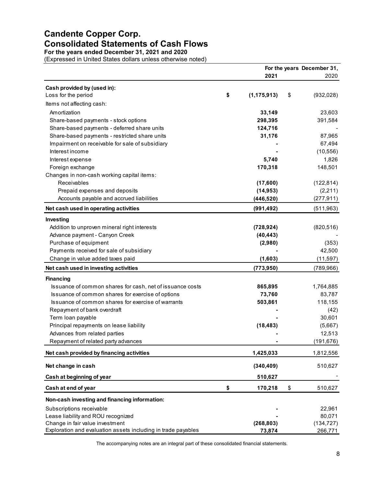# **Candente Copper Corp. Consolidated Statements of Cash Flows**

**For the years ended December 31, 2021 and 2020** 

(Expressed in United States dollars unless otherwise noted)

|                                                               | For the years December 31, |               |    |            |
|---------------------------------------------------------------|----------------------------|---------------|----|------------|
|                                                               |                            | 2021          |    | 2020       |
| Cash provided by (used in):                                   |                            |               |    |            |
| Loss for the period                                           | \$                         | (1, 175, 913) | \$ | (932, 028) |
| Items not affecting cash:                                     |                            |               |    |            |
| Amortization                                                  |                            | 33,149        |    | 23,603     |
| Share-based payments - stock options                          |                            | 298,395       |    | 391,584    |
| Share-based payments - deferred share units                   |                            | 124,716       |    |            |
| Share-based payments - restricted share units                 |                            | 31,176        |    | 87,965     |
| Impairment on receivable for sale of subsidiary               |                            |               |    | 67,494     |
| Interest income                                               |                            |               |    | (10, 556)  |
| Interest expense                                              |                            | 5,740         |    | 1,826      |
| Foreign exchange                                              |                            | 170,318       |    | 148,501    |
| Changes in non-cash working capital items:                    |                            |               |    |            |
| Receivables                                                   |                            | (17,600)      |    | (122, 814) |
| Prepaid expenses and deposits                                 |                            | (14, 953)     |    | (2,211)    |
| Accounts payable and accrued liabilities                      |                            | (446, 520)    |    | (277, 911) |
| Net cash used in operating activities                         |                            | (991, 492)    |    | (511, 963) |
| Investing                                                     |                            |               |    |            |
| Addition to unproven mineral right interests                  |                            | (728, 924)    |    | (820, 516) |
| Advance payment - Canyon Creek                                |                            | (40, 443)     |    |            |
| Purchase of equipment                                         |                            | (2,980)       |    | (353)      |
| Payments received for sale of subsidiary                      |                            |               |    | 42,500     |
| Change in value added taxes paid                              |                            | (1,603)       |    | (11, 597)  |
| Net cash used in investing activities                         |                            | (773, 950)    |    | (789, 966) |
| <b>Financing</b>                                              |                            |               |    |            |
| Issuance of common shares for cash, net of issuance costs     |                            | 865,895       |    | 1,764,885  |
| Issuance of common shares for exercise of options             |                            | 73,760        |    | 83,787     |
| Issuance of common shares for exercise of warrants            |                            | 503,861       |    | 118,155    |
| Repayment of bank overdraft                                   |                            |               |    | (42)       |
| Term loan payable                                             |                            |               |    | 30,601     |
| Principal repayments on lease liability                       |                            | (18, 483)     |    | (5,667)    |
| Advances from related parties                                 |                            |               |    | 12,513     |
| Repayment of related party advances                           |                            |               |    | (191, 676) |
| Net cash provided by financing activities                     |                            | 1,425,033     |    | 1,812,556  |
| Net change in cash                                            |                            | (340, 409)    |    | 510,627    |
| Cash at beginning of year                                     |                            | 510,627       |    |            |
| Cash at end of year                                           | \$                         | 170,218       | \$ | 510,627    |
| Non-cash investing and financing information:                 |                            |               |    |            |
| Subscriptions receivable                                      |                            |               |    | 22,961     |
| Lease liability and ROU recognized                            |                            |               |    | 80,071     |
| Change in fair value investment                               |                            | (268, 803)    |    | (134, 727) |
| Exploration and evaluation assets including in trade payables |                            | 73,874        |    | 266,771    |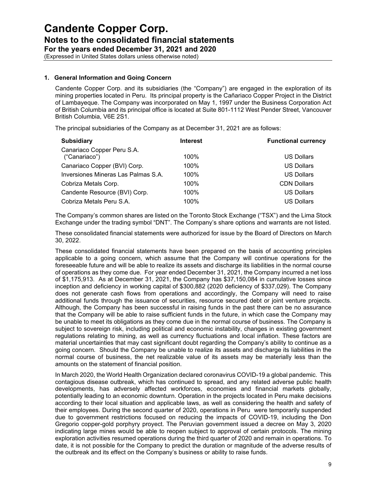## **1. General Information and Going Concern**

Candente Copper Corp. and its subsidiaries (the "Company") are engaged in the exploration of its mining properties located in Peru. Its principal property is the Cañariaco Copper Project in the District of Lambayeque. The Company was incorporated on May 1, 1997 under the Business Corporation Act of British Columbia and its principal office is located at Suite 801-1112 West Pender Street, Vancouver British Columbia, V6E 2S1.

The principal subsidiaries of the Company as at December 31, 2021 are as follows:

| <b>Subsidiary</b>                           | <b>Interest</b> | <b>Functional currency</b> |
|---------------------------------------------|-----------------|----------------------------|
| Canariaco Copper Peru S.A.<br>("Canariaco") | 100%            | <b>US Dollars</b>          |
| Canariaco Copper (BVI) Corp.                | 100%            | <b>US Dollars</b>          |
| Inversiones Mineras Las Palmas S.A.         | 100%            | <b>US Dollars</b>          |
| Cobriza Metals Corp.                        | 100%            | <b>CDN Dollars</b>         |
| Candente Resource (BVI) Corp.               | 100%            | <b>US Dollars</b>          |
| Cobriza Metals Peru S.A.                    | 100%            | <b>US Dollars</b>          |

The Company's common shares are listed on the Toronto Stock Exchange ("TSX") and the Lima Stock Exchange under the trading symbol "DNT". The Company's share options and warrants are not listed.

These consolidated financial statements were authorized for issue by the Board of Directors on March 30, 2022.

These consolidated financial statements have been prepared on the basis of accounting principles applicable to a going concern, which assume that the Company will continue operations for the foreseeable future and will be able to realize its assets and discharge its liabilities in the normal course of operations as they come due. For year ended December 31, 2021, the Company incurred a net loss of \$1,175,913. As at December 31, 2021, the Company has \$37,150,084 in cumulative losses since inception and deficiency in working capital of \$300,882 (2020 deficiency of \$337,029). The Company does not generate cash flows from operations and accordingly, the Company will need to raise additional funds through the issuance of securities, resource secured debt or joint venture projects. Although, the Company has been successful in raising funds in the past there can be no assurance that the Company will be able to raise sufficient funds in the future, in which case the Company may be unable to meet its obligations as they come due in the normal course of business. The Company is subject to sovereign risk, including political and economic instability, changes in existing government regulations relating to mining, as well as currency fluctuations and local inflation. These factors are material uncertainties that may cast significant doubt regarding the Company's ability to continue as a going concern. Should the Company be unable to realize its assets and discharge its liabilities in the normal course of business, the net realizable value of its assets may be materially less than the amounts on the statement of financial position.

In March 2020, the World Health Organization declared coronavirus COVID-19 a global pandemic. This contagious disease outbreak, which has continued to spread, and any related adverse public health developments, has adversely affected workforces, economies and financial markets globally, potentially leading to an economic downturn. Operation in the projects located in Peru make decisions according to their local situation and applicable laws, as well as considering the health and safety of their employees. During the second quarter of 2020, operations in Peru were temporarily suspended due to government restrictions focused on reducing the impacts of COVID-19, including the Don Gregorio copper-gold porphyry proyect. The Peruvian government issued a decree on May 3, 2020 indicating large mines would be able to reopen subject to approval of certain protocols. The mining exploration activities resumed operations during the third quarter of 2020 and remain in operations. To date, it is not possible for the Company to predict the duration or magnitude of the adverse results of the outbreak and its effect on the Company's business or ability to raise funds.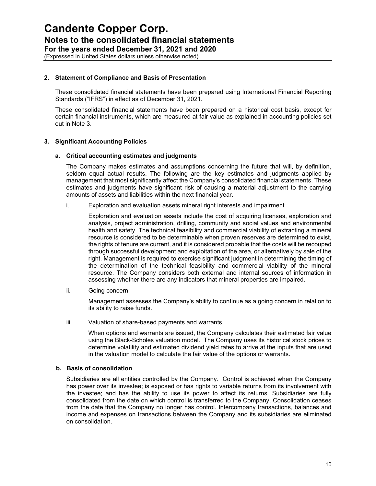## **2. Statement of Compliance and Basis of Presentation**

These consolidated financial statements have been prepared using International Financial Reporting Standards ("IFRS") in effect as of December 31, 2021.

These consolidated financial statements have been prepared on a historical cost basis, except for certain financial instruments, which are measured at fair value as explained in accounting policies set out in Note 3.

#### **3. Significant Accounting Policies**

#### **a. Critical accounting estimates and judgments**

The Company makes estimates and assumptions concerning the future that will, by definition, seldom equal actual results. The following are the key estimates and judgments applied by management that most significantly affect the Company's consolidated financial statements. These estimates and judgments have significant risk of causing a material adjustment to the carrying amounts of assets and liabilities within the next financial year.

i. Exploration and evaluation assets mineral right interests and impairment

Exploration and evaluation assets include the cost of acquiring licenses, exploration and analysis, project administration, drilling, community and social values and environmental health and safety. The technical feasibility and commercial viability of extracting a mineral resource is considered to be determinable when proven reserves are determined to exist, the rights of tenure are current, and it is considered probable that the costs will be recouped through successful development and exploitation of the area, or alternatively by sale of the right. Management is required to exercise significant judgment in determining the timing of the determination of the technical feasibility and commercial viability of the mineral resource. The Company considers both external and internal sources of information in assessing whether there are any indicators that mineral properties are impaired.

ii. Going concern

Management assesses the Company's ability to continue as a going concern in relation to its ability to raise funds.

iii. Valuation of share-based payments and warrants

When options and warrants are issued, the Company calculates their estimated fair value using the Black-Scholes valuation model. The Company uses its historical stock prices to determine volatility and estimated dividend yield rates to arrive at the inputs that are used in the valuation model to calculate the fair value of the options or warrants.

### **b. Basis of consolidation**

Subsidiaries are all entities controlled by the Company. Control is achieved when the Company has power over its investee; is exposed or has rights to variable returns from its involvement with the investee; and has the ability to use its power to affect its returns. Subsidiaries are fully consolidated from the date on which control is transferred to the Company. Consolidation ceases from the date that the Company no longer has control. Intercompany transactions, balances and income and expenses on transactions between the Company and its subsidiaries are eliminated on consolidation.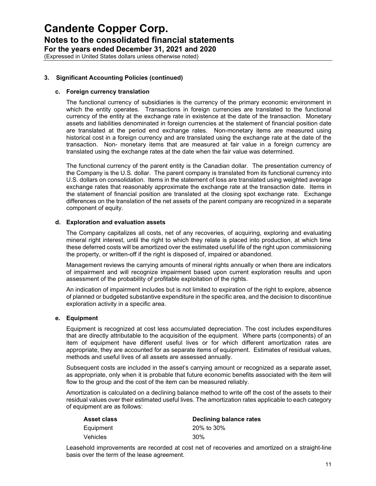# **Candente Copper Corp. Notes to the consolidated financial statements For the years ended December 31, 2021 and 2020**

(Expressed in United States dollars unless otherwise noted)

# **3. Significant Accounting Policies (continued)**

### **c. Foreign currency translation**

The functional currency of subsidiaries is the currency of the primary economic environment in which the entity operates. Transactions in foreign currencies are translated to the functional currency of the entity at the exchange rate in existence at the date of the transaction. Monetary assets and liabilities denominated in foreign currencies at the statement of financial position date are translated at the period end exchange rates. Non-monetary items are measured using historical cost in a foreign currency and are translated using the exchange rate at the date of the transaction. Non- monetary items that are measured at fair value in a foreign currency are translated using the exchange rates at the date when the fair value was determined.

The functional currency of the parent entity is the Canadian dollar. The presentation currency of the Company is the U.S. dollar. The parent company is translated from its functional currency into U.S. dollars on consolidation. Items in the statement of loss are translated using weighted average exchange rates that reasonably approximate the exchange rate at the transaction date. Items in the statement of financial position are translated at the closing spot exchange rate. Exchange differences on the translation of the net assets of the parent company are recognized in a separate component of equity.

## **d. Exploration and evaluation assets**

The Company capitalizes all costs, net of any recoveries, of acquiring, exploring and evaluating mineral right interest, until the right to which they relate is placed into production, at which time these deferred costs will be amortized over the estimated useful life of the right upon commissioning the property, or written-off if the right is disposed of, impaired or abandoned.

Management reviews the carrying amounts of mineral rights annually or when there are indicators of impairment and will recognize impairment based upon current exploration results and upon assessment of the probability of profitable exploitation of the rights.

An indication of impairment includes but is not limited to expiration of the right to explore, absence of planned or budgeted substantive expenditure in the specific area, and the decision to discontinue exploration activity in a specific area.

### **e. Equipment**

Equipment is recognized at cost less accumulated depreciation. The cost includes expenditures that are directly attributable to the acquisition of the equipment. Where parts (components) of an item of equipment have different useful lives or for which different amortization rates are appropriate, they are accounted for as separate items of equipment. Estimates of residual values, methods and useful lives of all assets are assessed annually.

Subsequent costs are included in the asset's carrying amount or recognized as a separate asset, as appropriate, only when it is probable that future economic benefits associated with the item will flow to the group and the cost of the item can be measured reliably.

Amortization is calculated on a declining balance method to write off the cost of the assets to their residual values over their estimated useful lives. The amortization rates applicable to each category of equipment are as follows:

| <b>Asset class</b> | Declining balance rates |
|--------------------|-------------------------|
| Equipment          | 20% to 30%              |
| <b>Vehicles</b>    | 30%                     |

Leasehold improvements are recorded at cost net of recoveries and amortized on a straight-line basis over the term of the lease agreement.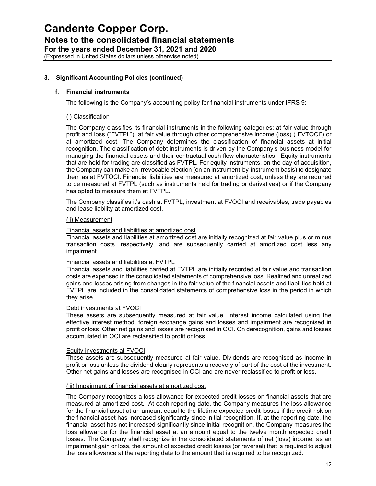# **Candente Copper Corp. Notes to the consolidated financial statements For the years ended December 31, 2021 and 2020**

(Expressed in United States dollars unless otherwise noted)

# **3. Significant Accounting Policies (continued)**

#### **f. Financial instruments**

The following is the Company's accounting policy for financial instruments under IFRS 9:

#### (i) Classification

The Company classifies its financial instruments in the following categories: at fair value through profit and loss ("FVTPL"), at fair value through other comprehensive income (loss) ("FVTOCI") or at amortized cost. The Company determines the classification of financial assets at initial recognition. The classification of debt instruments is driven by the Company's business model for managing the financial assets and their contractual cash flow characteristics. Equity instruments that are held for trading are classified as FVTPL. For equity instruments, on the day of acquisition, the Company can make an irrevocable election (on an instrument-by-instrument basis) to designate them as at FVTOCI. Financial liabilities are measured at amortized cost, unless they are required to be measured at FVTPL (such as instruments held for trading or derivatives) or if the Company has opted to measure them at FVTPL.

The Company classifies it's cash at FVTPL, investment at FVOCI and receivables, trade payables and lease liability at amortized cost.

#### (ii) Measurement

#### Financial assets and liabilities at amortized cost

Financial assets and liabilities at amortized cost are initially recognized at fair value plus or minus transaction costs, respectively, and are subsequently carried at amortized cost less any impairment.

#### Financial assets and liabilities at FVTPL

Financial assets and liabilities carried at FVTPL are initially recorded at fair value and transaction costs are expensed in the consolidated statements of comprehensive loss. Realized and unrealized gains and losses arising from changes in the fair value of the financial assets and liabilities held at FVTPL are included in the consolidated statements of comprehensive loss in the period in which they arise.

#### Debt investments at FVOCI

These assets are subsequently measured at fair value. Interest income calculated using the effective interest method, foreign exchange gains and losses and impairment are recognised in profit or loss. Other net gains and losses are recognised in OCI. On derecognition, gains and losses accumulated in OCI are reclassified to profit or loss.

#### Equity investments at FVOCI

These assets are subsequently measured at fair value. Dividends are recognised as income in profit or loss unless the dividend clearly represents a recovery of part of the cost of the investment. Other net gains and losses are recognised in OCI and are never reclassified to profit or loss.

#### (iii) Impairment of financial assets at amortized cost

The Company recognizes a loss allowance for expected credit losses on financial assets that are measured at amortized cost. At each reporting date, the Company measures the loss allowance for the financial asset at an amount equal to the lifetime expected credit losses if the credit risk on the financial asset has increased significantly since initial recognition. If, at the reporting date, the financial asset has not increased significantly since initial recognition, the Company measures the loss allowance for the financial asset at an amount equal to the twelve month expected credit losses. The Company shall recognize in the consolidated statements of net (loss) income, as an impairment gain or loss, the amount of expected credit losses (or reversal) that is required to adjust the loss allowance at the reporting date to the amount that is required to be recognized.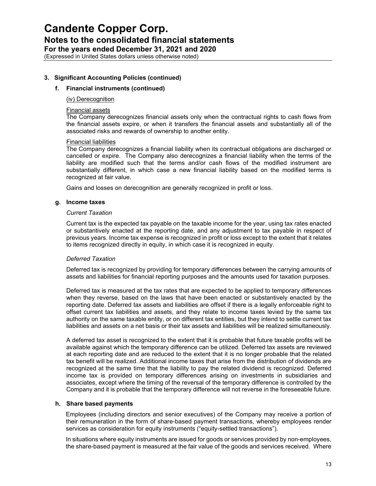# **Candente Copper Corp. Notes to the consolidated financial statements For the years ended December 31, 2021 and 2020**

(Expressed in United States dollars unless otherwise noted)

**3. Significant Accounting Policies (continued)**

# **f. Financial instruments (continued)**

## (iv) Derecognition

### Financial assets

The Company derecognizes financial assets only when the contractual rights to cash flows from the financial assets expire, or when it transfers the financial assets and substantially all of the associated risks and rewards of ownership to another entity.

#### Financial liabilities

The Company derecognizes a financial liability when its contractual obligations are discharged or cancelled or expire. The Company also derecognizes a financial liability when the terms of the liability are modified such that the terms and/or cash flows of the modified instrument are substantially different, in which case a new financial liability based on the modified terms is recognized at fair value.

Gains and losses on derecognition are generally recognized in profit or loss.

#### **g. Income taxes**

#### *Current Taxation*

Current tax is the expected tax payable on the taxable income for the year, using tax rates enacted or substantively enacted at the reporting date, and any adjustment to tax payable in respect of previous years. Income tax expense is recognized in profit or loss except to the extent that it relates to items recognized directly in equity, in which case it is recognized in equity.

### *Deferred Taxation*

Deferred tax is recognized by providing for temporary differences between the carrying amounts of assets and liabilities for financial reporting purposes and the amounts used for taxation purposes.

Deferred tax is measured at the tax rates that are expected to be applied to temporary differences when they reverse, based on the laws that have been enacted or substantively enacted by the reporting date. Deferred tax assets and liabilities are offset if there is a legally enforceable right to offset current tax liabilities and assets, and they relate to income taxes levied by the same tax authority on the same taxable entity, or on different tax entities, but they intend to settle current tax liabilities and assets on a net basis or their tax assets and liabilities will be realized simultaneously.

A deferred tax asset is recognized to the extent that it is probable that future taxable profits will be available against which the temporary difference can be utilized. Deferred tax assets are reviewed at each reporting date and are reduced to the extent that it is no longer probable that the related tax benefit will be realized. Additional income taxes that arise from the distribution of dividends are recognized at the same time that the liability to pay the related dividend is recognized. Deferred income tax is provided on temporary differences arising on investments in subsidiaries and associates, except where the timing of the reversal of the temporary difference is controlled by the Company and it is probable that the temporary difference will not reverse in the foreseeable future.

### **h. Share based payments**

Employees (including directors and senior executives) of the Company may receive a portion of their remuneration in the form of share-based payment transactions, whereby employees render services as consideration for equity instruments ("equity-settled transactions").

In situations where equity instruments are issued for goods or services provided by non-employees, the share-based payment is measured at the fair value of the goods and services received. Where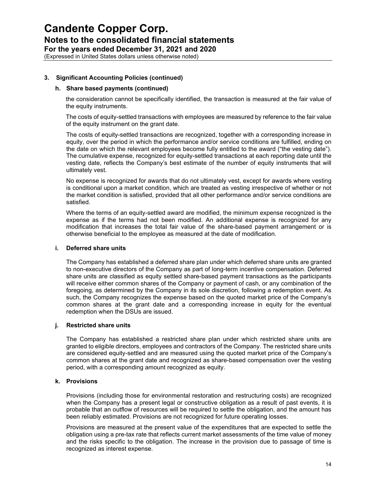# **3. Significant Accounting Policies (continued)**

#### **h. Share based payments (continued)**

the consideration cannot be specifically identified, the transaction is measured at the fair value of the equity instruments.

The costs of equity-settled transactions with employees are measured by reference to the fair value of the equity instrument on the grant date.

The costs of equity-settled transactions are recognized, together with a corresponding increase in equity, over the period in which the performance and/or service conditions are fulfilled, ending on the date on which the relevant employees become fully entitled to the award ("the vesting date"). The cumulative expense, recognized for equity-settled transactions at each reporting date until the vesting date, reflects the Company's best estimate of the number of equity instruments that will ultimately vest.

No expense is recognized for awards that do not ultimately vest, except for awards where vesting is conditional upon a market condition, which are treated as vesting irrespective of whether or not the market condition is satisfied, provided that all other performance and/or service conditions are satisfied.

Where the terms of an equity-settled award are modified, the minimum expense recognized is the expense as if the terms had not been modified. An additional expense is recognized for any modification that increases the total fair value of the share-based payment arrangement or is otherwise beneficial to the employee as measured at the date of modification.

### **i. Deferred share units**

The Company has established a deferred share plan under which deferred share units are granted to non-executive directors of the Company as part of long-term incentive compensation. Deferred share units are classified as equity settled share-based payment transactions as the participants will receive either common shares of the Company or payment of cash, or any combination of the foregoing, as determined by the Company in its sole discretion, following a redemption event. As such, the Company recognizes the expense based on the quoted market price of the Company's common shares at the grant date and a corresponding increase in equity for the eventual redemption when the DSUs are issued.

### **j. Restricted share units**

The Company has established a restricted share plan under which restricted share units are granted to eligible directors, employees and contractors of the Company. The restricted share units are considered equity-settled and are measured using the quoted market price of the Company's common shares at the grant date and recognized as share-based compensation over the vesting period, with a corresponding amount recognized as equity.

# **k. Provisions**

Provisions (including those for environmental restoration and restructuring costs) are recognized when the Company has a present legal or constructive obligation as a result of past events, it is probable that an outflow of resources will be required to settle the obligation, and the amount has been reliably estimated. Provisions are not recognized for future operating losses.

Provisions are measured at the present value of the expenditures that are expected to settle the obligation using a pre-tax rate that reflects current market assessments of the time value of money and the risks specific to the obligation. The increase in the provision due to passage of time is recognized as interest expense.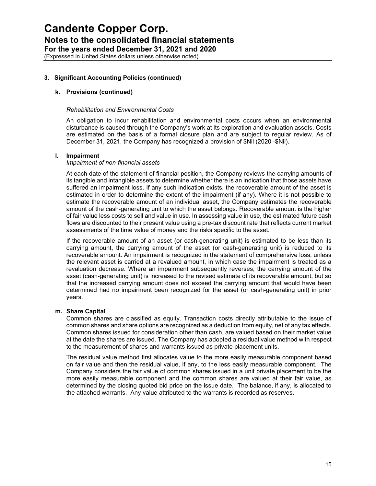# **Candente Copper Corp. Notes to the consolidated financial statements For the years ended December 31, 2021 and 2020**

(Expressed in United States dollars unless otherwise noted)

# **3. Significant Accounting Policies (continued)**

### **k. Provisions (continued)**

#### *Rehabilitation and Environmental Costs*

An obligation to incur rehabilitation and environmental costs occurs when an environmental disturbance is caused through the Company's work at its exploration and evaluation assets. Costs are estimated on the basis of a formal closure plan and are subject to regular review. As of December 31, 2021, the Company has recognized a provision of \$Nil (2020 -\$Nil).

#### **l. Impairment**

#### *Impairment of non-financial assets*

At each date of the statement of financial position, the Company reviews the carrying amounts of its tangible and intangible assets to determine whether there is an indication that those assets have suffered an impairment loss. If any such indication exists, the recoverable amount of the asset is estimated in order to determine the extent of the impairment (if any). Where it is not possible to estimate the recoverable amount of an individual asset, the Company estimates the recoverable amount of the cash-generating unit to which the asset belongs. Recoverable amount is the higher of fair value less costs to sell and value in use. In assessing value in use, the estimated future cash flows are discounted to their present value using a pre-tax discount rate that reflects current market assessments of the time value of money and the risks specific to the asset.

If the recoverable amount of an asset (or cash-generating unit) is estimated to be less than its carrying amount, the carrying amount of the asset (or cash-generating unit) is reduced to its recoverable amount. An impairment is recognized in the statement of comprehensive loss, unless the relevant asset is carried at a revalued amount, in which case the impairment is treated as a revaluation decrease. Where an impairment subsequently reverses, the carrying amount of the asset (cash-generating unit) is increased to the revised estimate of its recoverable amount, but so that the increased carrying amount does not exceed the carrying amount that would have been determined had no impairment been recognized for the asset (or cash-generating unit) in prior years.

#### **m. Share Capital**

Common shares are classified as equity. Transaction costs directly attributable to the issue of common shares and share options are recognized as a deduction from equity, net of any tax effects. Common shares issued for consideration other than cash, are valued based on their market value at the date the shares are issued. The Company has adopted a residual value method with respect to the measurement of shares and warrants issued as private placement units.

The residual value method first allocates value to the more easily measurable component based on fair value and then the residual value, if any, to the less easily measurable component. The Company considers the fair value of common shares issued in a unit private placement to be the more easily measurable component and the common shares are valued at their fair value, as determined by the closing quoted bid price on the issue date. The balance, if any, is allocated to the attached warrants. Any value attributed to the warrants is recorded as reserves.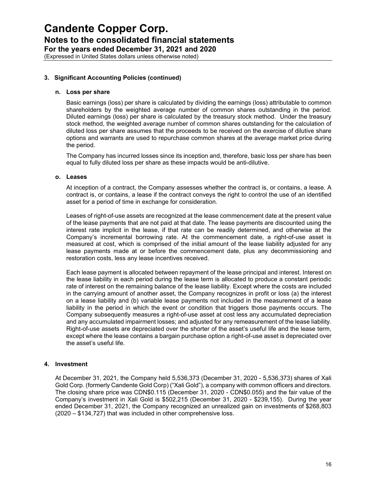# **Candente Copper Corp. Notes to the consolidated financial statements For the years ended December 31, 2021 and 2020**

(Expressed in United States dollars unless otherwise noted)

# **3. Significant Accounting Policies (continued)**

#### **n. Loss per share**

Basic earnings (loss) per share is calculated by dividing the earnings (loss) attributable to common shareholders by the weighted average number of common shares outstanding in the period. Diluted earnings (loss) per share is calculated by the treasury stock method. Under the treasury stock method, the weighted average number of common shares outstanding for the calculation of diluted loss per share assumes that the proceeds to be received on the exercise of dilutive share options and warrants are used to repurchase common shares at the average market price during the period.

The Company has incurred losses since its inception and, therefore, basic loss per share has been equal to fully diluted loss per share as these impacts would be anti-dilutive.

### **o. Leases**

At inception of a contract, the Company assesses whether the contract is, or contains, a lease. A contract is, or contains, a lease if the contract conveys the right to control the use of an identified asset for a period of time in exchange for consideration.

Leases of right-of-use assets are recognized at the lease commencement date at the present value of the lease payments that are not paid at that date. The lease payments are discounted using the interest rate implicit in the lease, if that rate can be readily determined, and otherwise at the Company's incremental borrowing rate. At the commencement date, a right-of-use asset is measured at cost, which is comprised of the initial amount of the lease liability adjusted for any lease payments made at or before the commencement date, plus any decommissioning and restoration costs, less any lease incentives received.

Each lease payment is allocated between repayment of the lease principal and interest. Interest on the lease liability in each period during the lease term is allocated to produce a constant periodic rate of interest on the remaining balance of the lease liability. Except where the costs are included in the carrying amount of another asset, the Company recognizes in profit or loss (a) the interest on a lease liability and (b) variable lease payments not included in the measurement of a lease liability in the period in which the event or condition that triggers those payments occurs. The Company subsequently measures a right-of-use asset at cost less any accumulated depreciation and any accumulated impairment losses; and adjusted for any remeasurement of the lease liability. Right-of-use assets are depreciated over the shorter of the asset's useful life and the lease term, except where the lease contains a bargain purchase option a right-of-use asset is depreciated over the asset's useful life.

### **4. Investment**

At December 31, 2021, the Company held 5,536,373 (December 31, 2020 - 5,536,373) shares of Xali Gold Corp. (formerly Candente Gold Corp) ("Xali Gold"), a company with common officers and directors. The closing share price was CDN\$0.115 (December 31, 2020 - CDN\$0.055) and the fair value of the Company's investment in Xali Gold is \$502,215 (December 31, 2020 - \$239,155). During the year ended December 31, 2021, the Company recognized an unrealized gain on investments of \$268,803 (2020 – \$134,727) that was included in other comprehensive loss.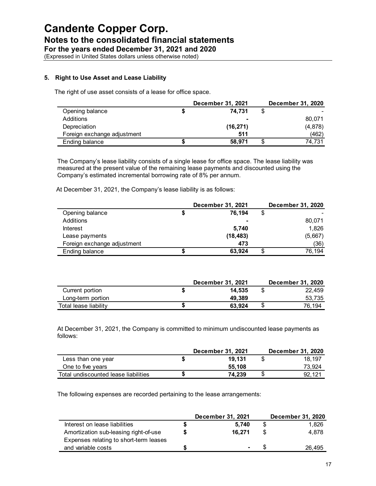# **5. Right to Use Asset and Lease Liability**

The right of use asset consists of a lease for office space.

|                             | <b>December 31, 2021</b> | <b>December 31, 2020</b> |
|-----------------------------|--------------------------|--------------------------|
| Opening balance             | 74.731                   |                          |
| Additions                   |                          | 80,071                   |
| Depreciation                | (16, 271)                | (4,878)                  |
| Foreign exchange adjustment | 511                      | (462)                    |
| Ending balance              | 58.971                   | 74.731                   |

The Company's lease liability consists of a single lease for office space. The lease liability was measured at the present value of the remaining lease payments and discounted using the Company's estimated incremental borrowing rate of 8% per annum.

At December 31, 2021, the Company's lease liability is as follows:

|                             | December 31, 2021 | December 31, 2020 |
|-----------------------------|-------------------|-------------------|
| Opening balance             | 76.194            | \$                |
| Additions                   |                   | 80,071            |
| <b>Interest</b>             | 5.740             | 1,826             |
| Lease payments              | (18, 483)         | (5,667)           |
| Foreign exchange adjustment | 473               | (36)              |
| Ending balance              | 63.924            | \$<br>76,194      |

|                       | <b>December 31, 2021</b> | <b>December 31, 2020</b> |
|-----------------------|--------------------------|--------------------------|
| Current portion       | 14.535                   | 22.459                   |
| Long-term portion     | 49.389                   | 53,735                   |
| Total lease liability | 63.924                   | 76.194                   |

At December 31, 2021, the Company is committed to minimum undiscounted lease payments as follows:

|                                      | December 31, 2021 | <b>December 31, 2020</b> |
|--------------------------------------|-------------------|--------------------------|
| Less than one year                   | 19.131            | 18.197                   |
| One to five years                    | 55.108            | 73.924                   |
| Total undiscounted lease liabilities | 74.239            | 92.121                   |

The following expenses are recorded pertaining to the lease arrangements:

|                                        | December 31, 2021 |   | <b>December 31, 2020</b> |
|----------------------------------------|-------------------|---|--------------------------|
| Interest on lease liabilities          | 5.740             | S | 1.826                    |
| Amortization sub-leasing right-of-use  | 16.271            |   | 4.878                    |
| Expenses relating to short-term leases |                   |   |                          |
| and variable costs                     |                   |   | 26.495                   |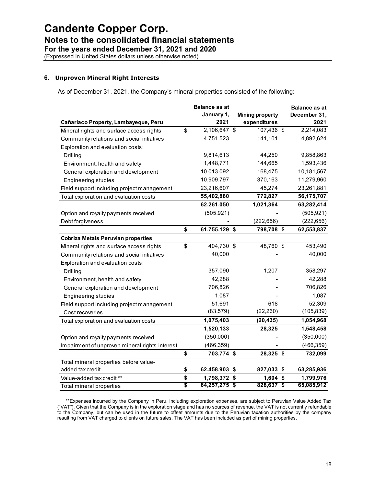# **Candente Copper Corp.**

**Notes to the consolidated financial statements** 

**For the years ended December 31, 2021 and 2020** 

(Expressed in United States dollars unless otherwise noted)

# **6. Unproven Mineral Right Interests**

As of December 31, 2021, the Company's mineral properties consisted of the following:

|                                                | <b>Balance as at</b>  |                        | <b>Balance as at</b> |
|------------------------------------------------|-----------------------|------------------------|----------------------|
|                                                | January 1,            | <b>Mining property</b> | December 31,         |
| Cañariaco Property, Lambayeque, Peru           | 2021                  | expenditures           | 2021                 |
| Mineral rights and surface access rights       | \$<br>2,106,647 \$    | 107,436 \$             | 2,214,083            |
| Community relations and social intiatives      | 4,751,523             | 141,101                | 4,892,624            |
| Exploration and evaluation costs:              |                       |                        |                      |
| Drilling                                       | 9,814,613             | 44,250                 | 9,858,863            |
| Environment, health and safety                 | 1,448,771             | 144,665                | 1,593,436            |
| General exploration and development            | 10,013,092            | 168,475                | 10,181,567           |
| <b>Engineering studies</b>                     | 10,909,797            | 370,163                | 11,279,960           |
| Field support including project management     | 23,216,607            | 45,274                 | 23,261,881           |
| Total exploration and evaluation costs         | 55,402,880            | 772,827                | 56,175,707           |
|                                                | 62,261,050            | 1,021,364              | 63,282,414           |
| Option and royalty payments received           | (505, 921)            |                        | (505, 921)           |
| Debt forgiveness                               |                       | (222, 656)             | (222, 656)           |
|                                                | \$<br>61,755,129 \$   | 798,708 \$             | 62,553,837           |
| <b>Cobriza Metals Peruvian properties</b>      |                       |                        |                      |
| Mineral rights and surface access rights       | \$<br>404,730 \$      | 48,760 \$              | 453,490              |
| Community relations and social intiatives      | 40,000                |                        | 40,000               |
| Exploration and evaluation costs:              |                       |                        |                      |
| Drilling                                       | 357,090               | 1,207                  | 358,297              |
| Environment, health and safety                 | 42,288                |                        | 42,288               |
| General exploration and development            | 706,826               |                        | 706,826              |
| <b>Engineering studies</b>                     | 1,087                 |                        | 1,087                |
| Field support including project management     | 51,691                | 618                    | 52,309               |
| Cost recoveries                                | (83, 579)             | (22, 260)              | (105, 839)           |
| Total exploration and evaluation costs         | 1,075,403             | (20, 435)              | 1,054,968            |
|                                                | 1,520,133             | 28,325                 | 1,548,458            |
| Option and royalty payments received           | (350,000)             |                        | (350,000)            |
| Impairment of unproven mineral rights interest | (466, 359)            |                        | (466, 359)           |
|                                                | \$<br>703,774 \$      | 28,325 \$              | 732,099              |
| Total mineral properties before value-         |                       |                        |                      |
| added tax credit                               | \$<br>62,458,903 \$   | 827,033 \$             | 63,285,936           |
| Value-added tax credit **                      | \$<br>1,798,372 \$    | 1,604 \$               | 1,799,976            |
| Total mineral properties                       | \$<br>$64,257,275$ \$ | 828,637 \$             | 65,085,912           |

 \*\*Expenses incurred by the Company in Peru, including exploration expenses, are subject to Peruvian Value Added Tax ("VAT"). Given that the Company is in the exploration stage and has no sources of revenue, the VAT is not currently refundable to the Company, but can be used in the future to offset amounts due to the Peruvian taxation authorities by the company resulting from VAT charged to clients on future sales. The VAT has been included as part of mining properties.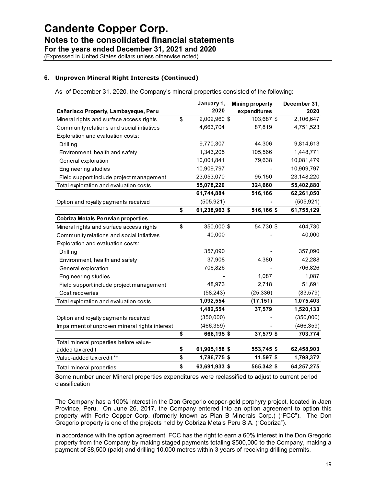# **6. Unproven Mineral Right Interests (Continued)**

As of December 31, 2020, the Company's mineral properties consisted of the following:

|                                                | January 1,          | <b>Mining property</b> | December 31, |
|------------------------------------------------|---------------------|------------------------|--------------|
| Cañariaco Property, Lambayeque, Peru           | 2020                | expenditures           | 2020         |
| Mineral rights and surface access rights       | \$<br>2,002,960 \$  | 103,687 \$             | 2,106,647    |
| Community relations and social intiatives      | 4,663,704           | 87,819                 | 4,751,523    |
| Exploration and evaluation costs:              |                     |                        |              |
| Drilling                                       | 9,770,307           | 44,306                 | 9,814,613    |
| Environment, health and safety                 | 1,343,205           | 105,566                | 1,448,771    |
| General exploration                            | 10,001,841          | 79,638                 | 10,081,479   |
| Engineering studies                            | 10,909,797          |                        | 10,909,797   |
| Field support include project management       | 23,053,070          | 95,150                 | 23,148,220   |
| Total exploration and evaluation costs         | 55,078,220          | 324,660                | 55,402,880   |
|                                                | 61,744,884          | 516,166                | 62,261,050   |
| Option and royalty payments received           | (505, 921)          |                        | (505, 921)   |
|                                                | \$<br>61,238,963 \$ | 516,166 \$             | 61,755,129   |
| <b>Cobriza Metals Peruvian properties</b>      |                     |                        |              |
| Mineral rights and surface access rights       | \$<br>350,000 \$    | 54,730 \$              | 404,730      |
| Community relations and social intiatives      | 40,000              |                        | 40,000       |
| Exploration and evaluation costs:              |                     |                        |              |
| Drilling                                       | 357,090             |                        | 357,090      |
| Environment, health and safety                 | 37,908              | 4,380                  | 42,288       |
| General exploration                            | 706,826             |                        | 706,826      |
| <b>Engineering studies</b>                     |                     | 1,087                  | 1,087        |
| Field support include project management       | 48,973              | 2,718                  | 51,691       |
| Cost recoveries                                | (58, 243)           | (25, 336)              | (83, 579)    |
| Total exploration and evaluation costs         | 1,092,554           | (17, 151)              | 1,075,403    |
|                                                | 1,482,554           | 37,579                 | 1,520,133    |
| Option and royalty payments received           | (350,000)           |                        | (350,000)    |
| Impairment of unproven mineral rights interest | (466, 359)          |                        | (466, 359)   |
|                                                | \$<br>666,195 \$    | 37,579 \$              | 703,774      |
| Total mineral properties before value-         |                     |                        |              |
| added tax credit                               | \$<br>61,905,158 \$ | 553,745 \$             | 62,458,903   |
| Value-added tax credit **                      | \$<br>1,786,775 \$  | $11,597$ \$            | 1,798,372    |
| Total mineral properties                       | \$<br>63,691,933 \$ | 565,342 \$             | 64,257,275   |

Some number under Mineral properties expenditures were reclassified to adjust to current period classification

The Company has a 100% interest in the Don Gregorio copper-gold porphyry project, located in Jaen Province, Peru. On June 26, 2017, the Company entered into an option agreement to option this property with Forte Copper Corp. (formerly known as Plan B Minerals Corp.) ("FCC"). The Don Gregorio property is one of the projects held by Cobriza Metals Peru S.A. ("Cobriza").

In accordance with the option agreement, FCC has the right to earn a 60% interest in the Don Gregorio property from the Company by making staged payments totaling \$500,000 to the Company, making a payment of \$8,500 (paid) and drilling 10,000 metres within 3 years of receiving drilling permits.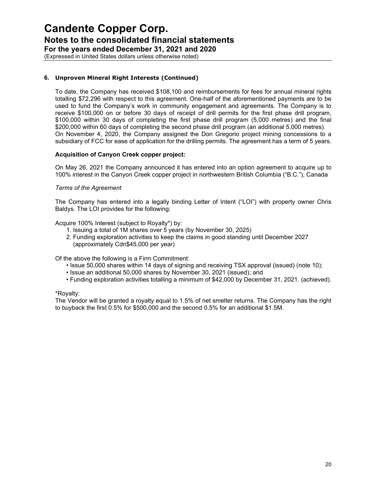# **6. Unproven Mineral Right Interests (Continued)**

To date, the Company has received \$108,100 and reimbursements for fees for annual mineral rights totalling \$72,296 with respect to this agreement. One-half of the aforementioned payments are to be used to fund the Company's work in community engagement and agreements. The Company is to receive \$100,000 on or before 30 days of receipt of drill permits for the first phase drill program, \$100,000 within 30 days of completing the first phase drill program (5,000 metres) and the final \$200,000 within 60 days of completing the second phase drill program (an additional 5,000 metres). On November 4, 2020, the Company assigned the Don Gregorio project mining concessions to a subsidiary of FCC for ease of application for the drilling permits. The agreement has a term of 5 years.

#### **Acquisition of Canyon Creek copper project:**

On May 26, 2021 the Company announced it has entered into an option agreement to acquire up to 100% interest in the Canyon Creek copper project in northwestern British Columbia ("B.C."), Canada

#### *Terms of the Agreement*

The Company has entered into a legally binding Letter of Intent ("LOI") with property owner Chris Baldys. The LOI provides for the following:

Acquire 100% Interest (subject to Royalty\*) by:

- 1. Issuing a total of 1M shares over 5 years (by November 30, 2025)
- 2. Funding exploration activities to keep the claims in good standing until December 2027 (approximately Cdn\$45,000 per year)

Of the above the following is a Firm Commitment:

- Issue 50,000 shares within 14 days of signing and receiving TSX approval (issued) (note 10);
- Issue an additional 50,000 shares by November 30, 2021 (issued); and
- Funding exploration activities totalling a minimum of \$42,000 by December 31, 2021. (achieved).

#### \*Royalty:

The Vendor will be granted a royalty equal to 1.5% of net smelter returns. The Company has the right to buyback the first 0.5% for \$500,000 and the second 0.5% for an additional \$1.5M.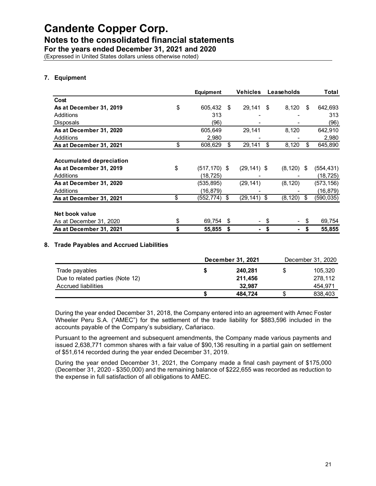# **Candente Copper Corp.**

# **Notes to the consolidated financial statements**

**For the years ended December 31, 2021 and 2020** 

(Expressed in United States dollars unless otherwise noted)

# **7. Equipment**

|                                 | <b>Equipment</b>      | <b>Vehicles</b> | Leaseholds     | Total           |
|---------------------------------|-----------------------|-----------------|----------------|-----------------|
| Cost                            |                       |                 |                |                 |
| As at December 31, 2019         | \$<br>605,432         | \$<br>29,141    | \$<br>8,120    | \$<br>642,693   |
| Additions                       | 313                   |                 |                | 313             |
| Disposals                       | (96)                  |                 |                | (96)            |
| As at December 31, 2020         | 605,649               | 29,141          | 8,120          | 642,910         |
| Additions                       | 2,980                 |                 |                | 2,980           |
| As at December 31, 2021         | \$<br>608,629         | \$<br>29,141    | \$<br>8,120    | \$<br>645,890   |
| <b>Accumulated depreciation</b> |                       |                 |                |                 |
| As at December 31, 2019         | \$<br>$(517, 170)$ \$ | $(29, 141)$ \$  | $(8, 120)$ \$  | (554, 431)      |
| Additions                       | (18,725)              |                 |                | (18, 725)       |
| As at December 31, 2020         | (535,895)             | (29, 141)       | (8, 120)       | (573, 156)      |
| Additions                       | (16,879)              |                 |                | (16, 879)       |
| As at December 31, 2021         | \$<br>(552, 774)      | \$<br>(29, 141) | \$<br>(8, 120) | \$<br>(590,035) |
| Net book value                  |                       |                 |                |                 |
| As at December 31, 2020         | \$<br>69,754          | \$              | \$             | \$<br>69,754    |
| As at December 31, 2021         | \$<br>55,855          | \$              | \$             | \$<br>55,855    |

# **8. Trade Payables and Accrued Liabilities**

|                                  | December 31, 2021 | December 31, 2020 |
|----------------------------------|-------------------|-------------------|
| Trade payables                   | 240.281           | 105,320           |
| Due to related parties (Note 12) | 211,456           | 278.112           |
| <b>Accrued liabilities</b>       | 32.987            | 454,971           |
|                                  | 484.724           | 838,403           |

During the year ended December 31, 2018, the Company entered into an agreement with Amec Foster Wheeler Peru S.A. ("AMEC") for the settlement of the trade liability for \$883,596 included in the accounts payable of the Company's subsidiary, Cañariaco.

Pursuant to the agreement and subsequent amendments, the Company made various payments and issued 2,638,771 common shares with a fair value of \$90,136 resulting in a partial gain on settlement of \$51,614 recorded during the year ended December 31, 2019.

During the year ended December 31, 2021, the Company made a final cash payment of \$175,000 (December 31, 2020 - \$350,000) and the remaining balance of \$222,655 was recorded as reduction to the expense in full satisfaction of all obligations to AMEC.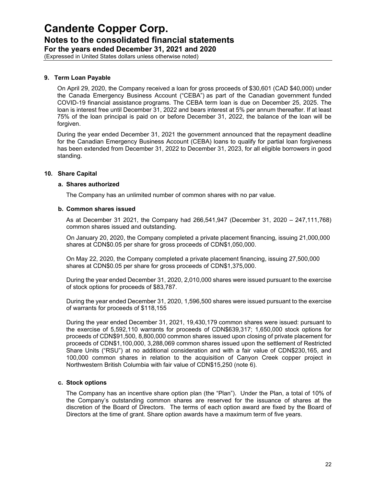# **9. Term Loan Payable**

On April 29, 2020, the Company received a loan for gross proceeds of \$30,601 (CAD \$40,000) under the Canada Emergency Business Account ("CEBA") as part of the Canadian government funded COVID-19 financial assistance programs. The CEBA term loan is due on December 25, 2025. The loan is interest free until December 31, 2022 and bears interest at 5% per annum thereafter. If at least 75% of the loan principal is paid on or before December 31, 2022, the balance of the loan will be forgiven.

During the year ended December 31, 2021 the government announced that the repayment deadline for the Canadian Emergency Business Account (CEBA) loans to qualify for partial loan forgiveness has been extended from December 31, 2022 to December 31, 2023, for all eligible borrowers in good standing.

### **10. Share Capital**

#### **a. Shares authorized**

The Company has an unlimited number of common shares with no par value.

#### **b. Common shares issued**

As at December 31 2021, the Company had 266,541,947 (December 31, 2020 – 247,111,768) common shares issued and outstanding.

On January 20, 2020, the Company completed a private placement financing, issuing 21,000,000 shares at CDN\$0.05 per share for gross proceeds of CDN\$1,050,000.

On May 22, 2020, the Company completed a private placement financing, issuing 27,500,000 shares at CDN\$0.05 per share for gross proceeds of CDN\$1,375,000.

During the year ended December 31, 2020, 2,010,000 shares were issued pursuant to the exercise of stock options for proceeds of \$83,787.

During the year ended December 31, 2020, 1,596,500 shares were issued pursuant to the exercise of warrants for proceeds of \$118,155

During the year ended December 31, 2021, 19,430,179 common shares were issued: pursuant to the exercise of 5,592,110 warrants for proceeds of CDN\$639,317; 1,650,000 stock options for proceeds of CDN\$91,500, 8,800,000 common shares issued upon closing of private placement for proceeds of CDN\$1,100,000, 3,288,069 common shares issued upon the settlement of Restricted Share Units ("RSU") at no additional consideration and with a fair value of CDN\$230,165, and 100,000 common shares in relation to the acquisition of Canyon Creek copper project in Northwestern British Columbia with fair value of CDN\$15,250 (note 6).

### **c. Stock options**

The Company has an incentive share option plan (the "Plan"). Under the Plan, a total of 10% of the Company's outstanding common shares are reserved for the issuance of shares at the discretion of the Board of Directors. The terms of each option award are fixed by the Board of Directors at the time of grant. Share option awards have a maximum term of five years.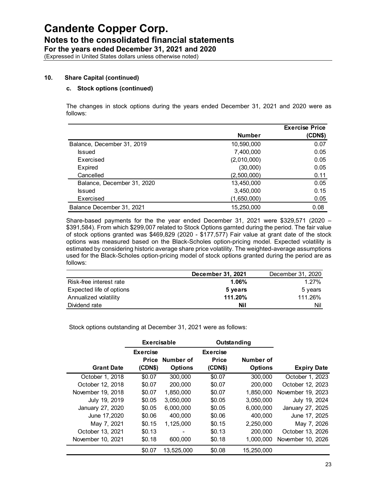# **10. Share Capital (continued)**

### **c. Stock options (continued)**

The changes in stock options during the years ended December 31, 2021 and 2020 were as follows:

|                            |               | <b>Exercise Price</b> |
|----------------------------|---------------|-----------------------|
|                            | <b>Number</b> | (CDN\$)               |
| Balance, December 31, 2019 | 10,590,000    | 0.07                  |
| <b>Issued</b>              | 7,400,000     | 0.05                  |
| Exercised                  | (2,010,000)   | 0.05                  |
| Expired                    | (30,000)      | 0.05                  |
| Cancelled                  | (2,500,000)   | 0.11                  |
| Balance, December 31, 2020 | 13,450,000    | 0.05                  |
| <b>Issued</b>              | 3,450,000     | 0.15                  |
| Exercised                  | (1,650,000)   | 0.05                  |
| Balance December 31, 2021  | 15,250,000    | 0.08                  |

Share-based payments for the the year ended December 31, 2021 were \$329,571 (2020 – \$391,584). From which \$299,007 related to Stock Options garnted during the period. The fair value of stock options granted was \$469,829 (2020 - \$177,577) Fair value at grant date of the stock options was measured based on the Black-Scholes option-pricing model. Expected volatility is estimated by considering historic average share price volatility. The weighted-average assumptions used for the Black-Scholes option-pricing model of stock options granted during the period are as follows:

|                          | <b>December 31, 2021</b> | December 31, 2020 |
|--------------------------|--------------------------|-------------------|
| Risk-free interest rate  | 1.06%                    | 1.27%             |
| Expected life of options | 5 years                  | 5 years           |
| Annualized volatility    | 111.20%                  | 111.26%           |
| Dividend rate            | <b>Nil</b>               | Nil               |

Stock options outstanding at December 31, 2021 were as follows:

|                   | Exercisable                     |                | Outstanding                     |                |                    |
|-------------------|---------------------------------|----------------|---------------------------------|----------------|--------------------|
|                   | <b>Exercise</b><br><b>Price</b> | Number of      | <b>Exercise</b><br><b>Price</b> | Number of      |                    |
| <b>Grant Date</b> | (CDN\$)                         | <b>Options</b> | (CDN\$)                         | <b>Options</b> | <b>Expiry Date</b> |
| October 1, 2018   | \$0.07                          | 300.000        | \$0.07                          | 300,000        | October 1, 2023    |
| October 12, 2018  | \$0.07                          | 200,000        | \$0.07                          | 200,000        | October 12, 2023   |
| November 19, 2018 | \$0.07                          | 1,850,000      | \$0.07                          | 1,850,000      | November 19, 2023  |
| July 19, 2019     | \$0.05                          | 3.050.000      | \$0.05                          | 3.050.000      | July 19, 2024      |
| January 27, 2020  | \$0.05                          | 6,000,000      | \$0.05                          | 6,000,000      | January 27, 2025   |
| June 17,2020      | \$0.06                          | 400.000        | \$0.06                          | 400.000        | June 17, 2025      |
| May 7, 2021       | \$0.15                          | 1.125.000      | \$0.15                          | 2.250.000      | May 7, 2026        |
| October 13, 2021  | \$0.13                          |                | \$0.13                          | 200,000        | October 13, 2026   |
| November 10, 2021 | \$0.18                          | 600.000        | \$0.18                          | 1.000.000      | November 10, 2026  |
|                   | \$0.07                          | 13.525.000     | \$0.08                          | 15,250,000     |                    |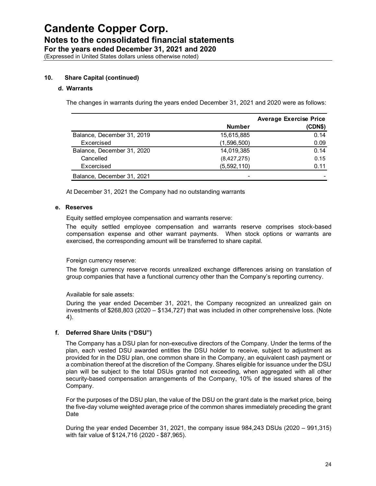## **10. Share Capital (continued)**

#### **d. Warrants**

The changes in warrants during the years ended December 31, 2021 and 2020 were as follows:

|                            |               | <b>Average Exercise Price</b> |
|----------------------------|---------------|-------------------------------|
|                            | <b>Number</b> | (CDN\$)                       |
| Balance, December 31, 2019 | 15,615,885    | 0.14                          |
| Excercised                 | (1,596,500)   | 0.09                          |
| Balance, December 31, 2020 | 14.019.385    | 0.14                          |
| Cancelled                  | (8,427,275)   | 0.15                          |
| Excercised                 | (5,592,110)   | 0.11                          |
| Balance, December 31, 2021 |               |                               |

At December 31, 2021 the Company had no outstanding warrants

#### **e. Reserves**

Equity settled employee compensation and warrants reserve:

The equity settled employee compensation and warrants reserve comprises stock-based compensation expense and other warrant payments. When stock options or warrants are exercised, the corresponding amount will be transferred to share capital.

#### Foreign currency reserve:

The foreign currency reserve records unrealized exchange differences arising on translation of group companies that have a functional currency other than the Company's reporting currency.

Available for sale assets:

During the year ended December 31, 2021, the Company recognized an unrealized gain on investments of \$268,803 (2020 – \$134,727) that was included in other comprehensive loss. (Note 4).

### **f. Deferred Share Units ("DSU")**

The Company has a DSU plan for non-executive directors of the Company. Under the terms of the plan, each vested DSU awarded entitles the DSU holder to receive, subject to adjustment as provided for in the DSU plan, one common share in the Company, an equivalent cash payment or a combination thereof at the discretion of the Company. Shares eligible for issuance under the DSU plan will be subject to the total DSUs granted not exceeding, when aggregated with all other security-based compensation arrangements of the Company, 10% of the issued shares of the Company.

For the purposes of the DSU plan, the value of the DSU on the grant date is the market price, being the five-day volume weighted average price of the common shares immediately preceding the grant Date

During the year ended December 31, 2021, the company issue 984,243 DSUs (2020 – 991,315) with fair value of \$124,716 (2020 - \$87,965).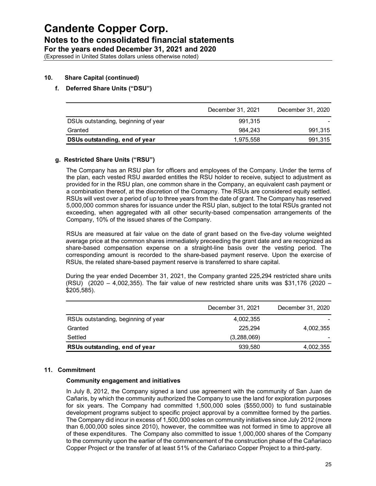# **Candente Copper Corp.**

# **Notes to the consolidated financial statements**

**For the years ended December 31, 2021 and 2020** 

(Expressed in United States dollars unless otherwise noted)

# **10. Share Capital (continued)**

# **f. Deferred Share Units ("DSU")**

|                                     | December 31, 2021 | December 31, 2020 |
|-------------------------------------|-------------------|-------------------|
| DSUs outstanding, beginning of year | 991.315           |                   |
| Granted                             | 984.243           | 991.315           |
| DSUs outstanding, end of year       | 1.975.558         | 991.315           |

### **g. Restricted Share Units ("RSU")**

The Company has an RSU plan for officers and employees of the Company. Under the terms of the plan, each vested RSU awarded entitles the RSU holder to receive, subject to adjustment as provided for in the RSU plan, one common share in the Company, an equivalent cash payment or a combination thereof, at the discretion of the Comapny. The RSUs are considered equity settled. RSUs will vest over a period of up to three years from the date of grant. The Company has reserved 5,000,000 common shares for issuance under the RSU plan, subject to the total RSUs granted not exceeding, when aggregated with all other security-based compensation arrangements of the Company, 10% of the issued shares of the Company.

RSUs are measured at fair value on the date of grant based on the five-day volume weighted average price at the common shares immediately preceeding the grant date and are recognized as share-based compensation expense on a straight-line basis over the vesting period. The corresponding amount is recorded to the share-based payment reserve. Upon the exercise of RSUs, the related share-based payment reserve is transferred to share capital.

During the year ended December 31, 2021, the Company granted 225,294 restricted share units (RSU) (2020 – 4,002,355). The fair value of new restricted share units was \$31,176 (2020 – \$205,585).

|                                     | December 31, 2021 | December 31, 2020 |
|-------------------------------------|-------------------|-------------------|
| RSUs outstanding, beginning of year | 4,002,355         |                   |
| Granted                             | 225.294           | 4,002,355         |
| Settled                             | (3,288,069)       |                   |
| RSUs outstanding, end of year       | 939,580           | 4,002,355         |

### **11. Commitment**

### **Community engagement and initiatives**

In July 8, 2012, the Company signed a land use agreement with the community of San Juan de Cañaris, by which the community authorized the Company to use the land for exploration purposes for six years. The Company had committed 1,500,000 soles (\$550,000) to fund sustainable development programs subject to specific project approval by a committee formed by the parties. The Company did incur in excess of 1,500,000 soles on community initiatives since July 2012 (more than 6,000,000 soles since 2010), however, the committee was not formed in time to approve all of these expenditures. The Company also committed to issue 1,000,000 shares of the Company to the community upon the earlier of the commencement of the construction phase of the Cañariaco Copper Project or the transfer of at least 51% of the Cañariaco Copper Project to a third-party.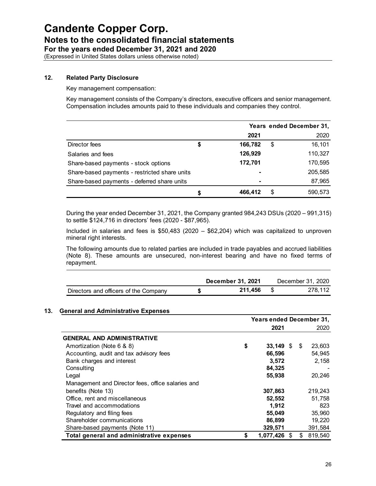## **12. Related Party Disclosure**

Key management compensation:

Key management consists of the Company's directors, executive officers and senior management. Compensation includes amounts paid to these individuals and companies they control.

|                                               |    |         | Years ended December 31, |         |  |
|-----------------------------------------------|----|---------|--------------------------|---------|--|
|                                               |    | 2021    |                          | 2020    |  |
| Director fees                                 | \$ | 166,782 | \$                       | 16,101  |  |
| Salaries and fees                             |    | 126,929 |                          | 110,327 |  |
| Share-based payments - stock options          |    | 172,701 |                          | 170,595 |  |
| Share-based payments - restricted share units |    |         |                          | 205,585 |  |
| Share-based payments - deferred share units   |    | ٠       |                          | 87,965  |  |
|                                               | S  | 466.412 | \$                       | 590,573 |  |

During the year ended December 31, 2021, the Company granted 984,243 DSUs (2020 – 991,315) to settle \$124,716 in directors' fees (2020 - \$87,965).

Included in salaries and fees is \$50,483 (2020 – \$62,204) which was capitalized to unproven mineral right interests.

The following amounts due to related parties are included in trade payables and accrued liabilities (Note 8). These amounts are unsecured, non-interest bearing and have no fixed terms of repayment.

|                                       | <b>December 31, 2021</b> | December 31, 2020 |
|---------------------------------------|--------------------------|-------------------|
| Directors and officers of the Company | 211.456                  | 278.112           |

#### **13. General and Administrative Expenses**

|                                                   | Years ended December 31, |           |      |    |         |
|---------------------------------------------------|--------------------------|-----------|------|----|---------|
|                                                   |                          | 2021      |      |    | 2020    |
| <b>GENERAL AND ADMINISTRATIVE</b>                 |                          |           |      |    |         |
| Amortization (Note 6 & 8)                         | \$                       | 33,149    | - \$ | S. | 23,603  |
| Accounting, audit and tax advisory fees           |                          | 66,596    |      |    | 54,945  |
| Bank charges and interest                         |                          | 3,572     |      |    | 2,158   |
| Consulting                                        |                          | 84,325    |      |    |         |
| Legal                                             |                          | 55,938    |      |    | 20,246  |
| Management and Director fees, office salaries and |                          |           |      |    |         |
| benefits (Note 13)                                |                          | 307,863   |      |    | 219,243 |
| Office, rent and miscellaneous                    |                          | 52,552    |      |    | 51,758  |
| Travel and accommodations                         |                          | 1,912     |      |    | 823     |
| Regulatory and filing fees                        |                          | 55,049    |      |    | 35,960  |
| Shareholder communications                        |                          | 86,899    |      |    | 19,220  |
| Share-based payments (Note 11)                    |                          | 329,571   |      |    | 391,584 |
| Total general and administrative expenses         | S                        | 1,077,426 | \$   | S. | 819,540 |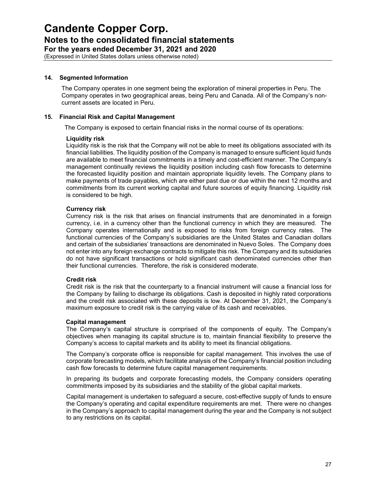## **14. Segmented Information**

The Company operates in one segment being the exploration of mineral properties in Peru. The Company operates in two geographical areas, being Peru and Canada. All of the Company's noncurrent assets are located in Peru.

### **15. Financial Risk and Capital Management**

The Company is exposed to certain financial risks in the normal course of its operations:

#### **Liquidity risk**

Liquidity risk is the risk that the Company will not be able to meet its obligations associated with its financial liabilities. The liquidity position of the Company is managed to ensure sufficient liquid funds are available to meet financial commitments in a timely and cost-efficient manner. The Company's management continually reviews the liquidity position including cash flow forecasts to determine the forecasted liquidity position and maintain appropriate liquidity levels. The Company plans to make payments of trade payables, which are either past due or due within the next 12 months and commitments from its current working capital and future sources of equity financing. Liquidity risk is considered to be high.

#### **Currency risk**

Currency risk is the risk that arises on financial instruments that are denominated in a foreign currency, i.e. in a currency other than the functional currency in which they are measured. The Company operates internationally and is exposed to risks from foreign currency rates. The functional currencies of the Company's subsidiaries are the United States and Canadian dollars and certain of the subsidiaries' transactions are denominated in Nuevo Soles. The Company does not enter into any foreign exchange contracts to mitigate this risk. The Company and its subsidiaries do not have significant transactions or hold significant cash denominated currencies other than their functional currencies. Therefore, the risk is considered moderate.

### **Credit risk**

Credit risk is the risk that the counterparty to a financial instrument will cause a financial loss for the Company by failing to discharge its obligations. Cash is deposited in highly rated corporations and the credit risk associated with these deposits is low. At December 31, 2021, the Company's maximum exposure to credit risk is the carrying value of its cash and receivables.

#### **Capital management**

The Company's capital structure is comprised of the components of equity. The Company's objectives when managing its capital structure is to, maintain financial flexibility to preserve the Company's access to capital markets and its ability to meet its financial obligations.

The Company's corporate office is responsible for capital management. This involves the use of corporate forecasting models, which facilitate analysis of the Company's financial position including cash flow forecasts to determine future capital management requirements.

In preparing its budgets and corporate forecasting models, the Company considers operating commitments imposed by its subsidiaries and the stability of the global capital markets.

Capital management is undertaken to safeguard a secure, cost-effective supply of funds to ensure the Company's operating and capital expenditure requirements are met. There were no changes in the Company's approach to capital management during the year and the Company is not subject to any restrictions on its capital.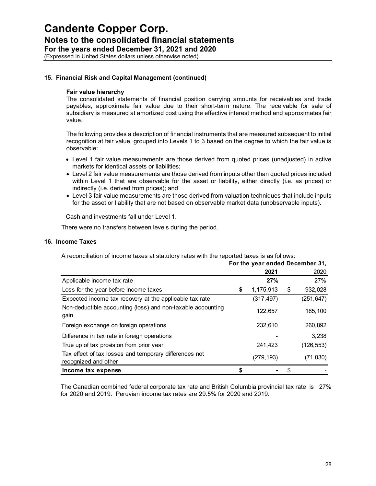# **Candente Copper Corp. Notes to the consolidated financial statements For the years ended December 31, 2021 and 2020**

(Expressed in United States dollars unless otherwise noted)

# **15. Financial Risk and Capital Management (continued)**

## **Fair value hierarchy**

The consolidated statements of financial position carrying amounts for receivables and trade payables, approximate fair value due to their short-term nature. The receivable for sale of subsidiary is measured at amortized cost using the effective interest method and approximates fair value.

The following provides a description of financial instruments that are measured subsequent to initial recognition at fair value, grouped into Levels 1 to 3 based on the degree to which the fair value is observable:

- Level 1 fair value measurements are those derived from quoted prices (unadjusted) in active markets for identical assets or liabilities;
- Level 2 fair value measurements are those derived from inputs other than quoted prices included within Level 1 that are observable for the asset or liability, either directly (i.e. as prices) or indirectly (i.e. derived from prices); and
- Level 3 fair value measurements are those derived from valuation techniques that include inputs for the asset or liability that are not based on observable market data (unobservable inputs).

Cash and investments fall under Level 1.

There were no transfers between levels during the period.

#### **16. Income Taxes**

A reconciliation of income taxes at statutory rates with the reported taxes is as follows:

|                                                                                | For the year ended December 31, |            |    |            |
|--------------------------------------------------------------------------------|---------------------------------|------------|----|------------|
|                                                                                |                                 | 2021       |    | 2020       |
| Applicable income tax rate                                                     |                                 | 27%        |    | 27%        |
| Loss for the year before income taxes                                          | \$                              | 1,175,913  | \$ | 932,028    |
| Expected income tax recovery at the applicable tax rate                        |                                 | (317, 497) |    | (251, 647) |
| Non-deductible accounting (loss) and non-taxable accounting<br>gain            |                                 | 122,657    |    | 185,100    |
| Foreign exchange on foreign operations                                         |                                 | 232,610    |    | 260,892    |
| Difference in tax rate in foreign operations                                   |                                 |            |    | 3,238      |
| True up of tax provision from prior year                                       |                                 | 241,423    |    | (126, 553) |
| Tax effect of tax losses and temporary differences not<br>recognized and other |                                 | (279, 193) |    | (71, 030)  |
| Income tax expense                                                             | \$                              |            |    |            |

The Canadian combined federal corporate tax rate and British Columbia provincial tax rate is 27% for 2020 and 2019. Peruvian income tax rates are 29.5% for 2020 and 2019.